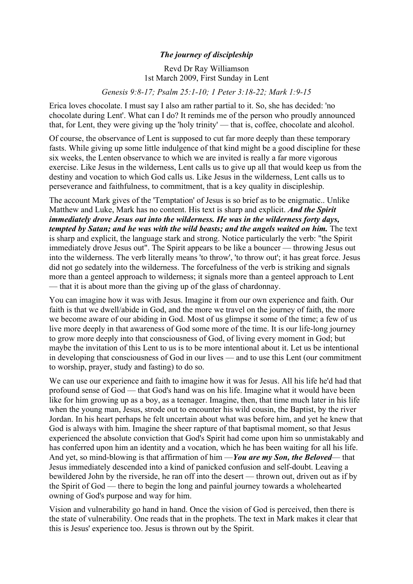## *The journey of discipleship*

Revd Dr Ray Williamson 1st March 2009, First Sunday in Lent

*Genesis 9:8-17; Psalm 25:1-10; 1 Peter 3:18-22; Mark 1:9-15*

Erica loves chocolate. I must say I also am rather partial to it. So, she has decided: 'no chocolate during Lent'. What can I do? It reminds me of the person who proudly announced that, for Lent, they were giving up the 'holy trinity' — that is, coffee, chocolate and alcohol.

Of course, the observance of Lent is supposed to cut far more deeply than these temporary fasts. While giving up some little indulgence of that kind might be a good discipline for these six weeks, the Lenten observance to which we are invited is really a far more vigorous exercise. Like Jesus in the wilderness, Lent calls us to give up all that would keep us from the destiny and vocation to which God calls us. Like Jesus in the wilderness, Lent calls us to perseverance and faithfulness, to commitment, that is a key quality in discipleship.

The account Mark gives of the 'Temptation' of Jesus is so brief as to be enigmatic.. Unlike Matthew and Luke, Mark has no content. His text is sharp and explicit. *And the Spirit immediately drove Jesus out into the wilderness. He was in the wilderness forty days, tempted by Satan; and he was with the wild beasts; and the angels waited on him.* The text is sharp and explicit, the language stark and strong. Notice particularly the verb: "the Spirit immediately drove Jesus out". The Spirit appears to be like a bouncer — throwing Jesus out into the wilderness. The verb literally means 'to throw', 'to throw out'; it has great force. Jesus did not go sedately into the wilderness. The forcefulness of the verb is striking and signals more than a genteel approach to wilderness; it signals more than a genteel approach to Lent — that it is about more than the giving up of the glass of chardonnay.

You can imagine how it was with Jesus. Imagine it from our own experience and faith. Our faith is that we dwell/abide in God, and the more we travel on the journey of faith, the more we become aware of our abiding in God. Most of us glimpse it some of the time; a few of us live more deeply in that awareness of God some more of the time. It is our life-long journey to grow more deeply into that consciousness of God, of living every moment in God; but maybe the invitation of this Lent to us is to be more intentional about it. Let us be intentional in developing that consciousness of God in our lives — and to use this Lent (our commitment to worship, prayer, study and fasting) to do so.

We can use our experience and faith to imagine how it was for Jesus. All his life he'd had that profound sense of God — that God's hand was on his life. Imagine what it would have been like for him growing up as a boy, as a teenager. Imagine, then, that time much later in his life when the young man, Jesus, strode out to encounter his wild cousin, the Baptist, by the river Jordan. In his heart perhaps he felt uncertain about what was before him, and yet he knew that God is always with him. Imagine the sheer rapture of that baptismal moment, so that Jesus experienced the absolute conviction that God's Spirit had come upon him so unmistakably and has conferred upon him an identity and a vocation, which he has been waiting for all his life. And yet, so mind-blowing is that affirmation of him —*You are my Son, the Beloved*— that Jesus immediately descended into a kind of panicked confusion and self-doubt. Leaving a bewildered John by the riverside, he ran off into the desert — thrown out, driven out as if by the Spirit of God — there to begin the long and painful journey towards a wholehearted owning of God's purpose and way for him.

Vision and vulnerability go hand in hand. Once the vision of God is perceived, then there is the state of vulnerability. One reads that in the prophets. The text in Mark makes it clear that this is Jesus' experience too. Jesus is thrown out by the Spirit.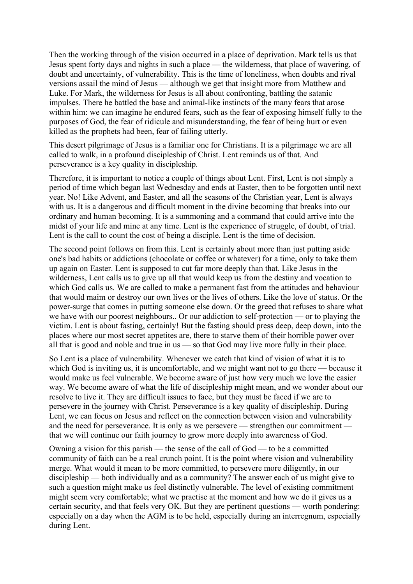Then the working through of the vision occurred in a place of deprivation. Mark tells us that Jesus spent forty days and nights in such a place — the wilderness, that place of wavering, of doubt and uncertainty, of vulnerability. This is the time of loneliness, when doubts and rival versions assail the mind of Jesus — although we get that insight more from Matthew and Luke. For Mark, the wilderness for Jesus is all about confronting, battling the satanic impulses. There he battled the base and animal-like instincts of the many fears that arose within him: we can imagine he endured fears, such as the fear of exposing himself fully to the purposes of God, the fear of ridicule and misunderstanding, the fear of being hurt or even killed as the prophets had been, fear of failing utterly.

This desert pilgrimage of Jesus is a familiar one for Christians. It is a pilgrimage we are all called to walk, in a profound discipleship of Christ. Lent reminds us of that. And perseverance is a key quality in discipleship.

Therefore, it is important to notice a couple of things about Lent. First, Lent is not simply a period of time which began last Wednesday and ends at Easter, then to be forgotten until next year. No! Like Advent, and Easter, and all the seasons of the Christian year, Lent is always with us. It is a dangerous and difficult moment in the divine becoming that breaks into our ordinary and human becoming. It is a summoning and a command that could arrive into the midst of your life and mine at any time. Lent is the experience of struggle, of doubt, of trial. Lent is the call to count the cost of being a disciple. Lent is the time of decision.

The second point follows on from this. Lent is certainly about more than just putting aside one's bad habits or addictions (chocolate or coffee or whatever) for a time, only to take them up again on Easter. Lent is supposed to cut far more deeply than that. Like Jesus in the wilderness, Lent calls us to give up all that would keep us from the destiny and vocation to which God calls us. We are called to make a permanent fast from the attitudes and behaviour that would maim or destroy our own lives or the lives of others. Like the love of status. Or the power-surge that comes in putting someone else down. Or the greed that refuses to share what we have with our poorest neighbours.. Or our addiction to self-protection — or to playing the victim. Lent is about fasting, certainly! But the fasting should press deep, deep down, into the places where our most secret appetites are, there to starve them of their horrible power over all that is good and noble and true in us — so that God may live more fully in their place.

So Lent is a place of vulnerability. Whenever we catch that kind of vision of what it is to which God is inviting us, it is uncomfortable, and we might want not to go there — because it would make us feel vulnerable. We become aware of just how very much we love the easier way. We become aware of what the life of discipleship might mean, and we wonder about our resolve to live it. They are difficult issues to face, but they must be faced if we are to persevere in the journey with Christ. Perseverance is a key quality of discipleship. During Lent, we can focus on Jesus and reflect on the connection between vision and vulnerability and the need for perseverance. It is only as we persevere — strengthen our commitment that we will continue our faith journey to grow more deeply into awareness of God.

Owning a vision for this parish — the sense of the call of God — to be a committed community of faith can be a real crunch point. It is the point where vision and vulnerability merge. What would it mean to be more committed, to persevere more diligently, in our discipleship — both individually and as a community? The answer each of us might give to such a question might make us feel distinctly vulnerable. The level of existing commitment might seem very comfortable; what we practise at the moment and how we do it gives us a certain security, and that feels very OK. But they are pertinent questions — worth pondering: especially on a day when the AGM is to be held, especially during an interregnum, especially during Lent.